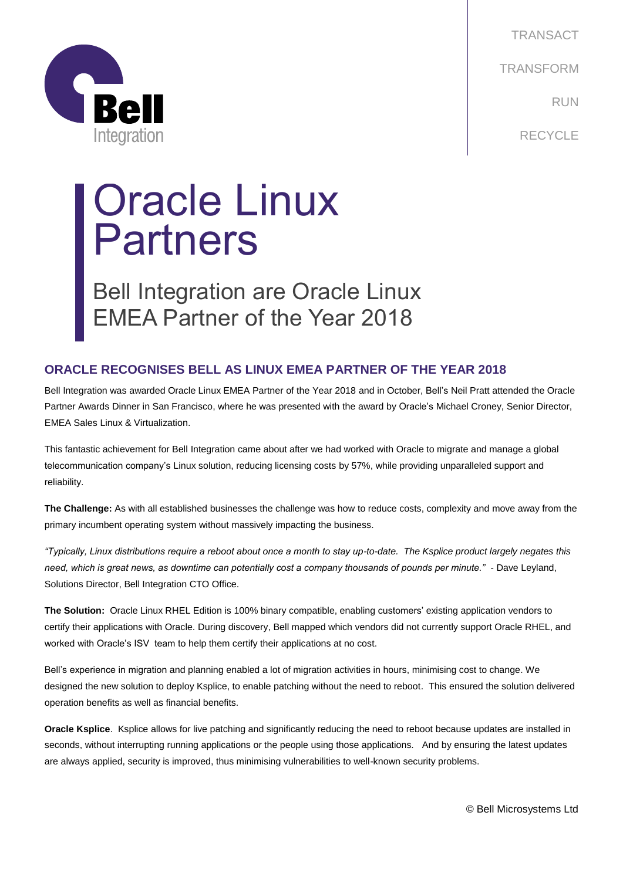

TRANSACT TRANSFORM RUN RECYCLE

## Oracle Linux Partners

Bell Integration are Oracle Linux EMEA Partner of the Year 2018

## **ORACLE RECOGNISES BELL AS LINUX EMEA PARTNER OF THE YEAR 2018**

Bell Integration was awarded Oracle Linux EMEA Partner of the Year 2018 and in October, Bell's Neil Pratt attended the Oracle Partner Awards Dinner in San Francisco, where he was presented with the award by Oracle's Michael Croney, Senior Director, EMEA Sales Linux & Virtualization.

This fantastic achievement for Bell Integration came about after we had worked with Oracle to migrate and manage a global telecommunication company's Linux solution, reducing licensing costs by 57%, while providing unparalleled support and reliability.

**The Challenge:** As with all established businesses the challenge was how to reduce costs, complexity and move away from the primary incumbent operating system without massively impacting the business.

*"Typically, Linux distributions require a reboot about once a month to stay up-to-date. The Ksplice product largely negates this need, which is great news, as downtime can potentially cost a company thousands of pounds per minute."* - Dave Leyland, Solutions Director, Bell Integration CTO Office.

**The Solution:** Oracle Linux RHEL Edition is 100% binary compatible, enabling customers' existing application vendors to certify their applications with Oracle. During discovery, Bell mapped which vendors did not currently support Oracle RHEL, and worked with Oracle's ISV team to help them certify their applications at no cost.

Bell's experience in migration and planning enabled a lot of migration activities in hours, minimising cost to change. We designed the new solution to deploy Ksplice, to enable patching without the need to reboot. This ensured the solution delivered operation benefits as well as financial benefits.

**Oracle Ksplice**. Ksplice allows for live patching and significantly reducing the need to reboot because updates are installed in seconds, without interrupting running applications or the people using those applications. And by ensuring the latest updates are always applied, security is improved, thus minimising vulnerabilities to well-known security problems.